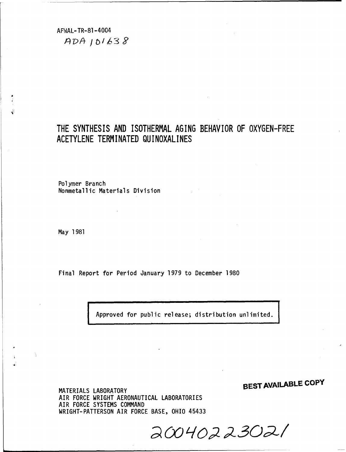AFWAL-TR-81-4004  $ADA101638$ 

# THE SYNTHESIS AND ISOTHERMAL AGING BEHAVIOR OF OXYGEN-FREE ACETYLENE TERMINATED QUINOXALINES

Polymer Branch Nonmetallic Materials Division

May 1981

 $\frac{1}{\epsilon}$ 

Final Report for Period January 1979 to December 1980

Approved for public release; distribution unlimited.

MATERIALS LABORATORY **SBEST AVAILABLE COPY**

MATERIALS LABORATORY AIR FORCE WRIGHT AERONAUTICAL LABORATORIES AIR FORCE SYSTEMS COMMAND WRIGHT-PATTERSON AIR FORCE BASE, OHIO 45433

*SOIo* p *z 32 e3o 2*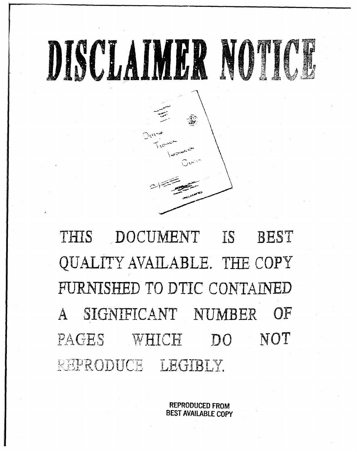

.THIS DOCUMENT iS BEST QUALITY AVAILABLE. **TIE** COPY FURNISHED TO DTIC CONTAINED A SIGNIFICANT NUMBER OF PAGES WHICH DO NOT REPRODUCE LEGIBLY.

> REPRODUCED FROM BEST AVAILABLE COPY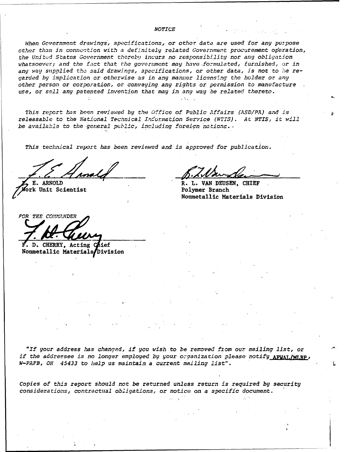#### *NOTICE*

*When Government drawings', specifications,* or other *data are used for any purpose other than in connec-tion with a definitely related Government procurement operation, the Unitd States Government thereb!l incurs no responsibility nor* any *obligation* whatsoever; and the fact that *the government may have formulated, furnished, or in* any way supplied the said drawings, specifications, or other data, is not to *he* re*garded by implication or otherwise as in any manner licensing the holder or any other person or corporation, or conveying any rights or permission to manufacture use, or sell any patented invention that may in any way be related thereto.*

*This report has been reviewed* by the Office *of Public Affairs (ASD/PA) and is releasable to the National Technical* Information *Service (NTIS). At NTIS, it will be* available to the *general public, including foreign hations.*

*This technical report has been reviewed and is approved for publication.*

**E. ARNOLD R. L. VAN DEUSEN, CHIEF** 

rk Unit Scientist Polymer Branch

Nonmetallic Materials Division

*FOR THE COWL21NDDER*

**D. CHERRY, Acting Chief** Nonmetallic Materials Division

*"If your address* has *changed, if you wish to be removed fxom our mailing list, or if the addressee is no longer employed by your organization please notify* AFWAL/MLBP, *W-PAFB, OH 45433 to help us maintain a current mailing list".*

*Copies of this report should not be returned unless return is required* **by** *security considerations, contractual obligations, or notice on a specific document.:*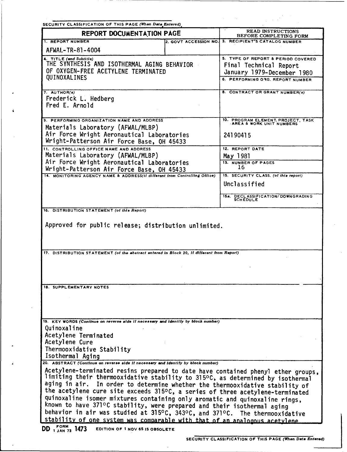| SECURITY CLASSIFICATION OF THIS PAGE (When Data Entered)                                                                                                                                                                                                                                                                                                                                                                                                                                                                                                                                                                                                   |                                                                                                                                |                                               |  |  |
|------------------------------------------------------------------------------------------------------------------------------------------------------------------------------------------------------------------------------------------------------------------------------------------------------------------------------------------------------------------------------------------------------------------------------------------------------------------------------------------------------------------------------------------------------------------------------------------------------------------------------------------------------------|--------------------------------------------------------------------------------------------------------------------------------|-----------------------------------------------|--|--|
| REPORT DOCUMENTATION PAGE                                                                                                                                                                                                                                                                                                                                                                                                                                                                                                                                                                                                                                  | READ INSTRUCTIONS<br>BEFORE COMPLETING FORM                                                                                    |                                               |  |  |
| 1. REPORT NUMBER                                                                                                                                                                                                                                                                                                                                                                                                                                                                                                                                                                                                                                           | 2. GOVT ACCESSION NO.                                                                                                          | 3. RECIPIENT'S CATALOG NUMBER                 |  |  |
| AFWAL-TR-81-4004                                                                                                                                                                                                                                                                                                                                                                                                                                                                                                                                                                                                                                           |                                                                                                                                |                                               |  |  |
| 4. TITLE (and Subtitle)<br>THE SYNTHESIS AND ISOTHERMAL AGING BEHAVIOR<br>OF OXYGEN-FREE ACETYLENE TERMINATED<br>QUINOXALINES                                                                                                                                                                                                                                                                                                                                                                                                                                                                                                                              | 5. TYPE OF REPORT & PERIOD COVERED<br>Final Technical Report<br>January 1979-December 1980<br>6. PERFORMING ORG. REPORT NUMBER |                                               |  |  |
| 7. AUTHOR(s)<br>Frederick L. Hedberg<br>Fred E. Arnold                                                                                                                                                                                                                                                                                                                                                                                                                                                                                                                                                                                                     |                                                                                                                                | <b>8. CONTRACT OR GRANT NUMBER(s)</b>         |  |  |
| 9. PERFORMING ORGANIZATION NAME AND ADDRESS                                                                                                                                                                                                                                                                                                                                                                                                                                                                                                                                                                                                                | 10. PROGRAM ELEMENT, PROJECT, TASK AREA & WORK UNIT NUMBERS                                                                    |                                               |  |  |
| Materials Laboratory (AFWAL/MLBP)<br>Air Force Wright Aeronautical Laboratories<br>Wright-Patterson Air Force Base, OH 45433                                                                                                                                                                                                                                                                                                                                                                                                                                                                                                                               | 24190415                                                                                                                       |                                               |  |  |
| 11. CONTROLLING OFFICE NAME AND ADDRESS                                                                                                                                                                                                                                                                                                                                                                                                                                                                                                                                                                                                                    |                                                                                                                                | 12. REPORT DATE                               |  |  |
| Materials Laboratory (AFWAL/MLBP)                                                                                                                                                                                                                                                                                                                                                                                                                                                                                                                                                                                                                          |                                                                                                                                | May 1981                                      |  |  |
| Air Force Wright Aeronautical Laboratories<br>Wright-Patterson Air Force Base, OH 45433                                                                                                                                                                                                                                                                                                                                                                                                                                                                                                                                                                    |                                                                                                                                | 13. NUMBER OF PAGES<br>16                     |  |  |
| 14. MONITORING AGENCY NAME & ADDRESS(if different from Controlling Office)                                                                                                                                                                                                                                                                                                                                                                                                                                                                                                                                                                                 |                                                                                                                                | 15. SECURITY CLASS. (of this report)          |  |  |
|                                                                                                                                                                                                                                                                                                                                                                                                                                                                                                                                                                                                                                                            |                                                                                                                                | Unclassified                                  |  |  |
|                                                                                                                                                                                                                                                                                                                                                                                                                                                                                                                                                                                                                                                            |                                                                                                                                | 15a. DECLASSIFICATION/DOWNGRADING<br>SCHEDULE |  |  |
| 16. DISTRIBUTION STATEMENT (of this Report)                                                                                                                                                                                                                                                                                                                                                                                                                                                                                                                                                                                                                |                                                                                                                                |                                               |  |  |
| Approved for public release; distribution unlimited.<br>17. DISTRIBUTION STATEMENT (of the abstract entered in Block 20, if different from Report)                                                                                                                                                                                                                                                                                                                                                                                                                                                                                                         |                                                                                                                                |                                               |  |  |
|                                                                                                                                                                                                                                                                                                                                                                                                                                                                                                                                                                                                                                                            |                                                                                                                                |                                               |  |  |
| 18. SUPPLEMENTARY NOTES<br>19. KEY WORDS (Continue on reverse side if necessary and identify by block number)                                                                                                                                                                                                                                                                                                                                                                                                                                                                                                                                              |                                                                                                                                |                                               |  |  |
| Quinoxaline                                                                                                                                                                                                                                                                                                                                                                                                                                                                                                                                                                                                                                                |                                                                                                                                |                                               |  |  |
| Acetylene Terminated                                                                                                                                                                                                                                                                                                                                                                                                                                                                                                                                                                                                                                       |                                                                                                                                |                                               |  |  |
| Acetylene Cure                                                                                                                                                                                                                                                                                                                                                                                                                                                                                                                                                                                                                                             |                                                                                                                                |                                               |  |  |
| Thermooxidative Stability                                                                                                                                                                                                                                                                                                                                                                                                                                                                                                                                                                                                                                  |                                                                                                                                |                                               |  |  |
| Isothermal Aging                                                                                                                                                                                                                                                                                                                                                                                                                                                                                                                                                                                                                                           |                                                                                                                                |                                               |  |  |
| 20. ABSTRACT (Continue on reverse side if necessary and identify by block number)                                                                                                                                                                                                                                                                                                                                                                                                                                                                                                                                                                          |                                                                                                                                |                                               |  |  |
| Acetylene-terminated resins prepared to date have contained phenyl ether groups,<br>limiting their thermooxidative stability to 315°C, as determined by isothermal<br>aging in air. In order to determine whether the thermooxidative stability of<br>the acetylene cure site exceeds 315°C, a series of three acetylene-terminated<br>quinoxaline isomer mixtures containing only aromatic and quinoxaline rings,<br>known to have 371°C stability, were prepared and their isothermal aging<br>behavior in air was studied at 315°C, 343°C, and 371°C. The thermooxidative<br>stability of one system was comparable with that of an analogous acetylene |                                                                                                                                |                                               |  |  |
| <b>FORM 1/72</b><br>nn<br>EDITION OF LNOW                                                                                                                                                                                                                                                                                                                                                                                                                                                                                                                                                                                                                  |                                                                                                                                |                                               |  |  |

 $\lambda$ 

**DD I** 1473 **EDITION** OF **I NOV 65 IS OBSOLETE**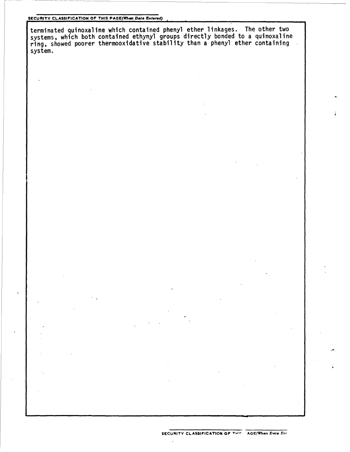### SECURITY **CLASSIFICATION** OF **THIS** PAGE(lthem *Data Entered)*

terminated quinoxaline which contained phenyl ether linkages. The other two systems, which both contained ethynyl groups directly bonded to a quinoxaline ring, showed poorer thermooxidative stability than a phenyl ether containing system.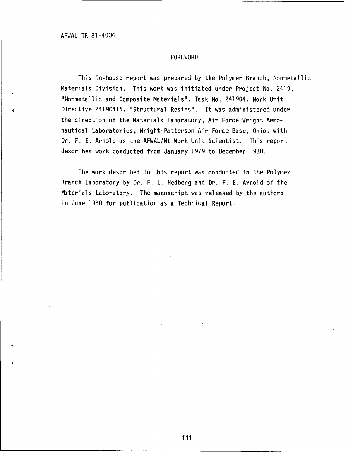#### FOREWORD

This in-house report was prepared by the Polymer Branch, Nonmetallic Materials Division. This work was initiated under Project No. 2419, "Nonmetallic and Composite Materials", Task No. 241904, Work Unit Directive 24190415, "Structural Resins". It was administered under the direction of the Materials Laboratory, Air Force Wright Aeronautical Laboratories, Wright-Patterson Air Force Base, Ohio, with Dr. F. E. Arnold as the AFWAL/ML Work Unit Scientist. This report describes work conducted from January 1979 to December 1980.

The work described in this report was conducted in the Polymer Branch Laboratory by Dr. F. L. Hedberg and Dr. F. E. Arnold of the Materials Laboratory. The manuscript was released by the authors in June 1980 for publication as a Technical Report.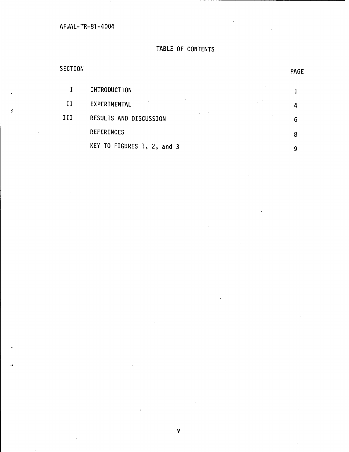# TABLE OF CONTENTS

# SECTION PAGE

J.

|    | INTRODUCTION               |                                   |  |
|----|----------------------------|-----------------------------------|--|
| Н  | EXPERIMENTAL               | <b>Contract Contract Contract</b> |  |
| ИI | RESULTS AND DISCUSSION     |                                   |  |
|    | <b>REFERENCES</b>          |                                   |  |
|    | KEY TO FIGURES 1, 2, and 3 |                                   |  |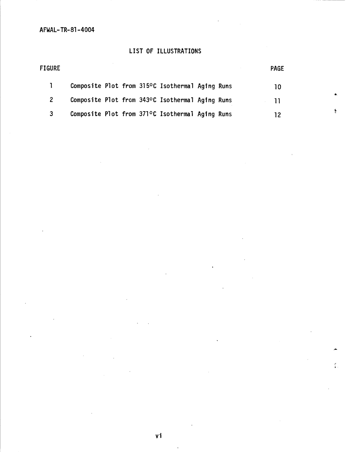# LIST OF ILLUSTRATIONS

| FIGURE |  |  |                                                 |  | <b>PAGE</b> |
|--------|--|--|-------------------------------------------------|--|-------------|
|        |  |  | Composite Plot from 315°C Isothermal Aging Runs |  | 10          |
|        |  |  | Composite Plot from 343°C Isothermal Aging Runs |  | 11          |
| 3      |  |  | Composite Plot from 371°C Isothermal Aging Runs |  |             |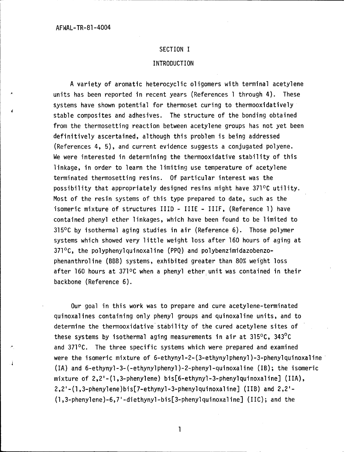### SECTION I

### INTRODUCTION

A variety of aromatic heterocyclic oligomers with terminal acetylene units has been reported in recent years (References 1 through 4). These systems have shown potential for thermoset curing to thermooxidatively stable composites and adhesives. The structure of the bonding obtained from the thermosetting reaction between acetylene groups has not yet been definitively ascertained, although this problem is being addressed (References 4, 5), and current evidence suggests a conjugated polyene. We were interested in determining the thermooxidative stability of this linkage, in order to learn the limiting use temperature of acetylene terminated thermosetting resins. Of particular interest was the possibility that appropriately designed resins might have 371°C utility. Most of the resin systems of this type prepared to date, such as the isomeric mixture of structures HID - IIIE - IIIF, (Reference **1)** have contained phenyl ether linkages, which have been found to be limited to  $315^{\circ}$ C by isothermal aging studies in air (Reference 6). Those polymer systems which showed very little weight loss after 160 hours of aging at  $371^{\circ}$ C, the polyphenylquinoxaline (PPQ) and polybenzimidazobenzophenanthroline (BBB) systems, exhibited greater than 80% weight loss after 160 hours at **3710C** when a phenyl ether unit was contained in their backbone (Reference 6).

Our goal in this work was to prepare and cure acetylene-terminated quinoxalines containing only phenyl groups and quinoxaline units, and to determine the thermooxidative stability of the cured acetylene sites of these systems by isothermal aging measurements in air at  $315^{\circ}$ C,  $343^{\circ}$ C and  $371^{\circ}$ C. The three specific systems which were prepared and examined were the isomeric mixture of 6-ethynyl-2-(3-ethynylphenyl)-3-phenylquinoxaline (IA) and 6-ethynyl-3-(-ethynylphenyl)-2-phenyl-quinoxaline (IB); the isomeric mixture of 2,2'-(l,3-phenylene) bis[6-ethynyl-3-phenylquinoxaline] (IIA), 2,2'-(l,3-phenylene)bis[7-ethynyl-3-phenylquinoxaline] (liB) and 2,2'- (l,3-phenylene)-6,7'-diethynyl-bis[3-phenylquinoxaline] (IC); and the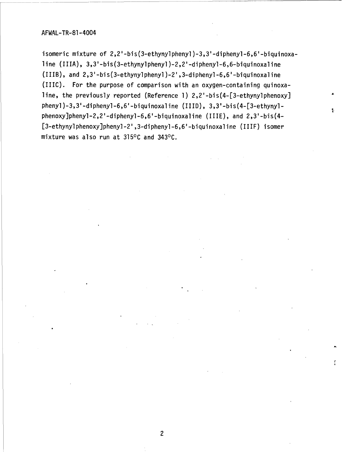isomeric mixture of 2,2'-bis(3-ethynylphenyl)-3,3'-diphenyl-6,6'-biquinoxaline (IIIA), 3,3'-bis(3-ethynylphenyl )-2,2'-diphenyl-6,6-biquinoxaline (TuIB), and 2,3'-bis(3-ethynylphenyl )-2' ,3-diphenyl-6,6'-biquinoxaline (1110). For the purpose of comparison with an oxygen-containing quinoxaline, the previously reported (Reference **1)** 2,2'-bis(4-[3-ethynylphenoxy] phenyl)-3,3'-diphenyl-6,6'-biquinoxaline (IIID), 3,3'-bis(4-[3-ethynylphenoxyjphenyl-2,2'-diphenyl-6,6'-biquinoxaline (IJIE), and 2,3'-bis(4- [3-ethynylphenoxy]phenyl-2',3-diphenyl-6,6'-biquinoxaline (IIIF) isomer mixture was also run at **31500** and 34300.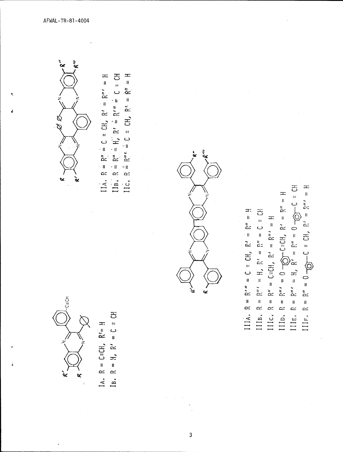

공  $R = R'' = 0 \rightarrow C = CH$ ,  $R' = R'' = H$ IIIC.  $R = R'' = C \equiv CH$ ,  $R' = R'' = H$ <br>
IIID.  $R = R'' = 0$  (g)  $C \equiv CH$ ,  $R' = R'' = H$ <br>
IIIE.  $R = R'' = H$ ,  $R' = R'' = 0$  (g)  $C \equiv ($ IIIA,  $R = R'' = C = CH$ ,  $R' = R'' = H$ IIIB,  $R = R'' = H$ ,  $R' = R'' = C = CH$  $III.$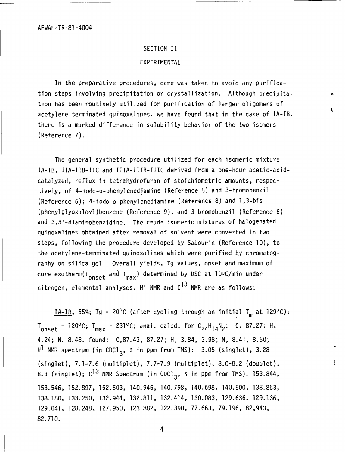# SECTION II

# EXPERIMENTAL

In the preparative procedures, care was taken to avoid any purification steps involving precipitation or crystallization. Although precipitation has been routinely utilized for purification of larger oligomers of acetylene terminated quinoxalines, we have found that in the case of IA-IB, there is a marked difference in solubility behavior of the two isomers (Reference **7).**

The general synthetic procedure utilized for each isomeric mixture IA-IB, IIA-IIB-IIC and IIIA-IIIB-IIIC derived from a one-hour acetic-acidcatalyzed, reflux in tetrahydrofuran of stoichiometric amounts, respectively, of 4-iodo-o-phenylenediamine (Reference 8) and 3-bromobenzil (Reference 6); 4-iodo-o-phenylenediamine (Reference 8) and 1,3-bis (phenylglyoxaloyl)benzene (Reference 9); and 3-bromobenzil (Reference 6) and 3,3'-diaminobenzidine. The crude isomeric mixtures of halogenated quinoxalines obtained after removal of solvent were converted in two steps, following the procedure developed by Sabourin (Reference 10), to the acetylene-terminated quinoxalines which were purified by chromatography on silica gel. Overall yields, Tg values, onset and maximum of cure exotherm( $T_{onset}$  and  $T_{max}$ ) determined by DSC at 10°C/min under nitrogen, elemental analyses,  $H'$  NMR and  $C^{13}$  NMR are as follows:

 $\underline{IA-IB}$ , 55%; Tg = 20<sup>o</sup>C (after cycling through an initial T<sub>m</sub> at 129<sup>o</sup>C);  $T_{onset}$  = 120°C;  $T_{max}$  = 231°C; anal. calcd, for  $C_{24}H_{14}N_2$ : C, 87.27; H, 4.24; N. 8.48. found: C,87.43, 87.27; H, 3.84, 3.98; N, 8.41, 8.50; H<sup>1</sup> NMR spectrum (in CDC1<sub>3</sub>,  $\delta$  in ppm from TMS): 3.05 (singlet), 3.28 (singlet), 7.1-7.6 (multiplet), 7.7-7.9 (multiplet), 8.0-8.2 (doublet), 8.3 (singlet);  $C^{13}$  NMR Spectrum (in CDC1<sub>3</sub>,  $\delta$  in ppm from TMS): 153.844, 153.546, 152.897, 152.603, 140.946, 140.798, 140.698, 140.500, 138.863, 138.180, 133.250, 132.944, 132.811, 132.414, 130.083, 129.636, 129.136, 129.041, 128.248, 127.950, 123.882, 122.390, 77.663, 79.196, 82,943, 82.710.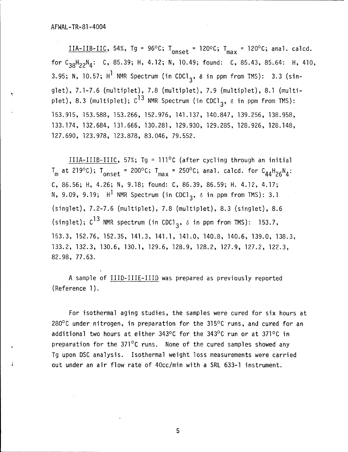$IIA-IIB-IIC$ , 54%, Tg = 96°C; T<sub>onset</sub> = 120°C; T<sub>max</sub> = 120°C; anal. calcd. for  $C_{38}H_{22}N_4$ : C, 85.39; H, 4.12; N, 10.49; found: C, 85.43, 85.64: H, 410, 3.95; N, 10.57; H<sup>1</sup> NMR Spectrum (in CDC1<sub>3</sub>,  $\delta$  in ppm from TMS): 3.3 (singlet), 7.1-7.6 (multiplet), 7.8 (multiplet), 7.9 (multiplet), 8.1 (multiplet), 8.3 (multiplet); C<sup>I3</sup> NMR Spectrum (in CDCl<sub>3</sub>,  $\delta$  in ppm from TMS) 153.915, 153.588, 153.266, 152.976, 141.137, 140.847, 139.256, 138.958, 133.174, 132.684, 131.666, 130.281, 129.930, 129.285, 128.926, 128.148, 127.690, 123.978, 123.878, 83.046, 79.552.

IIIA-IIIB-IIIC, 57%; Tg = 111<sup>o</sup>C (after cycling through an initial  $T_m$  at 219°C);  $T_{onset}$  = 200°C;  $T_{max}$  = 250°C; anal. calcd. for  $C_{44}H_{26}N_4$ : C, 86.56; H, 4.26; N, 9.18; found: C, 86.39, 86.59; H. 4.12, 4.17; N, 9.09, 9.19;  $H^1$  NMR Spectrum (in CDC1<sub>3</sub>,  $\delta$  in ppm from TMS): 3.1 (singlet), 7.2-7.6 (multiplet), 7.8 (multiplet), 8.3 (singlet), 8.6 (singlet);  $C^{13}$  NMR spectrum (in CDCl<sub>3</sub>,  $\delta$  in ppm from TMS): 153.7, 153.3, 152.76, 152.35, 141.3, 141.1, 141.0, 140.8, 140.6, 139.0, 138.3, 133.2, 132.3, 130.6, 130.1, 129.6, 128.9, 128.2, 127.9, 127.2, 122.3, 82.98, 77.63.

A sample of IIID-IIIE-IIID was prepared as previously reported (Reference **1).**

For isothermal aging studies, the samples were cured for six hours at 280 $\degree$ C under nitrogen, in preparation for the 315 $\degree$ C runs, and cured for an additional two hours at either  $343^{\circ}$ C for the  $343^{\circ}$ C run or at  $371^{\circ}$ C in preparation for the  $371^{\circ}$ C runs. None of the cured samples showed any Tg upon DSC analysis. Isothermal weight loss measurements were carried out under an air flow rate of 40cc/min with a SRL 633-1 instrument.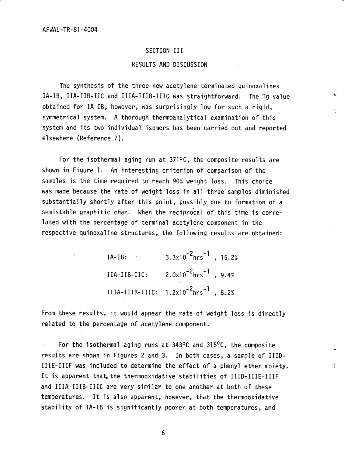# SECTION III

# RESULTS AND DISCUSSION

The synthesis of the three new acetylene terminated quinoxalines IA-IB, IIA-IIB-IIC and IIIA-IIIB-IIIC was straightforward. The Tg value obtained for IA-IB, however, was surprisingly low for such a rigid, symmetrical system. A thorough thermoanalytical examination of this system and its two individual isomers has been carried out and reported elsewhere (Reference 7).

For the isothermal aging run at  $371^{\circ}$ C, the composite results are shown in Figure **1.** An interesting criterion of comparison of the samples is the time required to reach 90% weight loss. This choice was made because the rate of weight loss in all three samples diminished substantially shortly after this point, possibly due to formation of a semistable graphitic char. When the reciprocal of this time is correlated with the percentage of terminal acetylene component in the respective quinoxaline structures, the following results are obtained:

> IA-B:-2 **-1**  $IA-IB: 3.3x10^{-2}hrs^{-1}$ , 15.2%  $IIA-IIB-IIC:$   $2.0x10^{-2}hrs^{-1}$ ,  $9.4%$ IIIA-IIIB-IIIC: 1.2x10<sup>-2</sup>hrs<sup>-1</sup>, 8.2%

From these results, it would appear the rate of weight loss is directly related to the percentage of acetylene component.

For the isothermal aging runs at  $343^{\circ}$ C and  $315^{\circ}$ C, the composite results are shown in Figures 2 and 3. In both cases, a sample of IIID-IIIE-IIIF was included to determine the effect of a phenyl ether moiety. It is apparent that the thermooxidative stabilities of IIID-IIIE-IIIF and IIIA-IIIB-IIIC are very similar to one another at both of these temperatures. It is also apparent, however, that the thermooxidative stability of IA-IB is significantly poorer at both temperatures, and

f.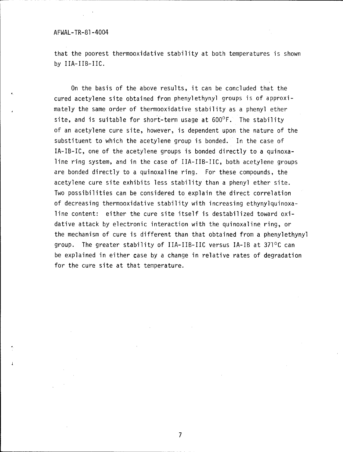that the poorest thermooxidative stability at both temperatures is shown by IIA-IIB-IIC.

On the basis of the above results, it can be concluded that the cured acetylene site obtained from phenylethynyl groups is of approximately the same order of thermooxidative stability as a phenyl ether site, and is suitable for short-term usage at **600'F.** The stability of an acetylene cure site, however, is dependent upon the nature of the substituent to which the acetylene group is bonded. In the case of IA-IB-IC, one of the acetylene groups is bonded directly to a quinoxaline ring system, and in the case of IIA-IIB-IIC, both acetylene groups are bonded directly to a quinoxaline ring. For these compounds, the acetylene cure site exhibits less stability than a phenyl ether site. Two possibilities can be considered to explain the direct correlation of decreasing thermooxidative stability with increasing ethynylquinoxaline content: either the cure site itself is destabilized toward oxidative attack by electronic interaction with the quinoxaline ring, or the mechanism of cure is different than that obtained from a phenylethynyl group. The greater stability of IIA-IIB-IIC versus IA-IB at  $371^{\circ}$ C can be explained in either case by a change in relative rates of degradation for the cure site at that temperature.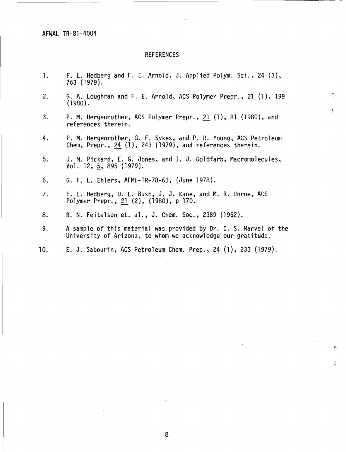# REFERENCES

- **1.** F. L. Hedberg and F. E. Arnold, J. Applied Polym. Sci., 24 (3), 763 (1979).
- 2. **G.** A. Loughran and F. E. Arnold, ACS Polymer Prepr., 21 (1), 199 (1980).

4

ţ.

- 3. P. M. Hergenrother, ACS Polymer Prepr., 21 (1), 81 (1980), and references therein.
- 4. P. M. Hergenrother, **G.** F. Sykes, and P. R. Young, ACS Petroleum Chem, Prepr., <u>24</u> (1), 243 (1979), and references therein
- 5. J. M. Pickard, E. **G.** Jones, and I. **J.** Goldfarb, Macromolecules, Vol. 12, 5, 895 (1979).
- 6. **G.** F. L. Ehlers, AFML-TR-78-63, (June 1978).
- 7. F. L. Hedberg, **D.** L. Bush, **J.** J. Kane, and M. R. Unroe, **ACS** Polymer Prepr., 21 (2), (1980), p 170.
- 8. B. N. Feitelson et. al., J. Chem. Soc., 2389 (1952).
- 9. A sample of this material was provided by Dr. C. S. Marvel of the University of Arizona, to whom we acknowledge our gratitude.
- **10.** E. **J.** Sabourin, ACS Petroleum Chem. Prep., 24 (1), 233 (1979).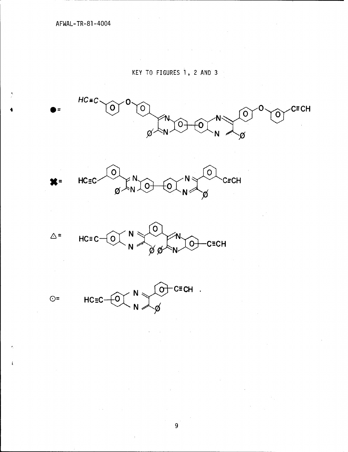# KEY TO FIGURES 1, 2 AND 3

 $\mathcal{L}^{\mathcal{L}}$  and  $\mathcal{L}^{\mathcal{L}}$  are the set of the set of the set of the set of  $\mathcal{L}^{\mathcal{L}}$ 





 $\mathcal{L}_{\text{max}}$  and  $\mathcal{L}_{\text{max}}$ 

 $\sim 10^{-10}$ 



 $\hat{\mathbf{r}}$  $\sim 100$ 



 $\beta$  ,  $\gamma$ 

 $\overline{9}$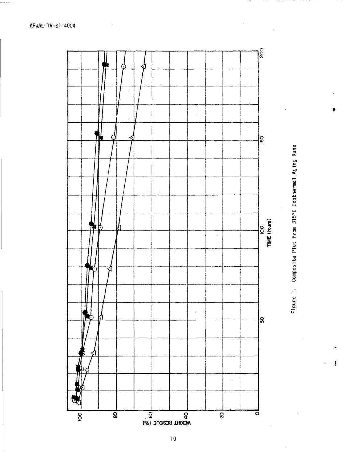



ŗ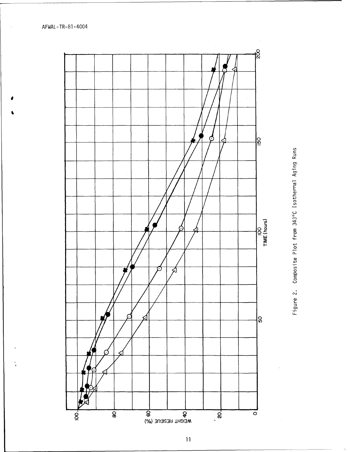$\frac{1}{4}$ 



Figure 2. Composite Plot from 343°C Isothermal Aging Runs